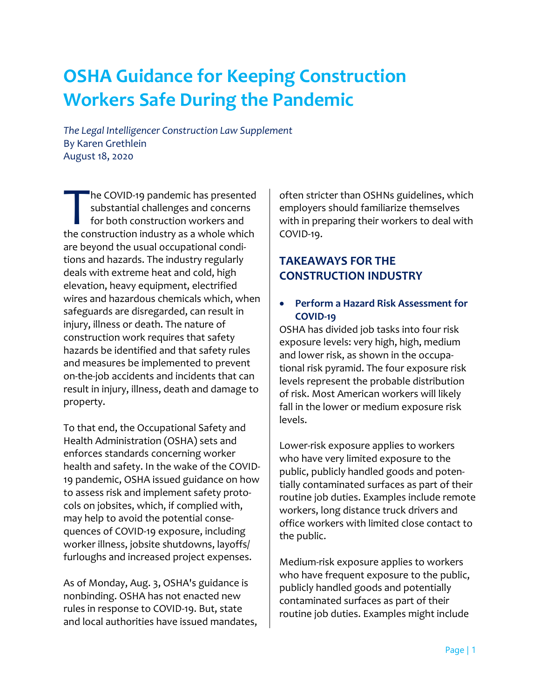# **OSHA Guidance for Keeping Construction Workers Safe During the Pandemic**

*The Legal Intelligencer Construction Law Supplement*  By Karen Grethlein August 18, 2020

he COVID-19 pandemic has presented substantial challenges and concerns for both construction workers and The COVID-19 pandemic has presented<br>substantial challenges and concerns<br>for both construction workers and<br>the construction industry as a whole which are beyond the usual occupational conditions and hazards. The industry regularly deals with extreme heat and cold, high elevation, heavy equipment, electrified wires and hazardous chemicals which, when safeguards are disregarded, can result in injury, illness or death. The nature of construction work requires that safety hazards be identified and that safety rules and measures be implemented to prevent on-the-job accidents and incidents that can result in injury, illness, death and damage to property.

To that end, the Occupational Safety and Health Administration (OSHA) sets and enforces standards concerning worker health and safety. In the wake of the COVID-19 pandemic, OSHA issued guidance on how to assess risk and implement safety protocols on jobsites, which, if complied with, may help to avoid the potential consequences of COVID-19 exposure, including worker illness, jobsite shutdowns, layoffs/ furloughs and increased project expenses.

As of Monday, Aug. 3, OSHA's guidance is nonbinding. OSHA has not enacted new rules in response to COVID-19. But, state and local authorities have issued mandates,

often stricter than OSHNs guidelines, which employers should familiarize themselves with in preparing their workers to deal with COVID-19.

# **TAKEAWAYS FOR THE CONSTRUCTION INDUSTRY**

#### • **Perform a Hazard Risk Assessment for COVID-19**

OSHA has divided job tasks into four risk exposure levels: very high, high, medium and lower risk, as shown in the occupational risk pyramid. The four exposure risk levels represent the probable distribution of risk. Most American workers will likely fall in the lower or medium exposure risk levels.

Lower-risk exposure applies to workers who have very limited exposure to the public, publicly handled goods and potentially contaminated surfaces as part of their routine job duties. Examples include remote workers, long distance truck drivers and office workers with limited close contact to the public.

Medium-risk exposure applies to workers who have frequent exposure to the public, publicly handled goods and potentially contaminated surfaces as part of their routine job duties. Examples might include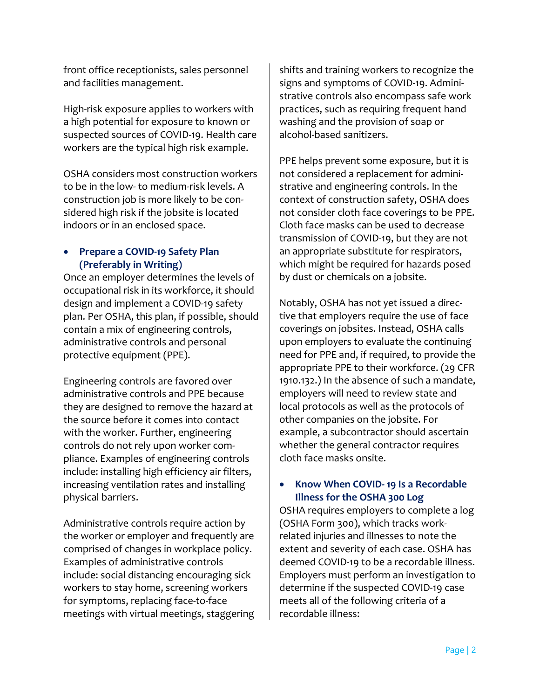front office receptionists, sales personnel and facilities management.

High-risk exposure applies to workers with a high potential for exposure to known or suspected sources of COVID-19. Health care workers are the typical high risk example.

OSHA considers most construction workers to be in the low- to medium-risk levels. A construction job is more likely to be considered high risk if the jobsite is located indoors or in an enclosed space.

#### • **Prepare a COVID-19 Safety Plan (Preferably in Writing)**

Once an employer determines the levels of occupational risk in its workforce, it should design and implement a COVID-19 safety plan. Per OSHA, this plan, if possible, should contain a mix of engineering controls, administrative controls and personal protective equipment (PPE).

Engineering controls are favored over administrative controls and PPE because they are designed to remove the hazard at the source before it comes into contact with the worker. Further, engineering controls do not rely upon worker compliance. Examples of engineering controls include: installing high efficiency air filters, increasing ventilation rates and installing physical barriers.

Administrative controls require action by the worker or employer and frequently are comprised of changes in workplace policy. Examples of administrative controls include: social distancing encouraging sick workers to stay home, screening workers for symptoms, replacing face-to-face meetings with virtual meetings, staggering

shifts and training workers to recognize the signs and symptoms of COVID-19. Administrative controls also encompass safe work practices, such as requiring frequent hand washing and the provision of soap or alcohol-based sanitizers.

PPE helps prevent some exposure, but it is not considered a replacement for administrative and engineering controls. In the context of construction safety, OSHA does not consider cloth face coverings to be PPE. Cloth face masks can be used to decrease transmission of COVID-19, but they are not an appropriate substitute for respirators, which might be required for hazards posed by dust or chemicals on a jobsite.

Notably, OSHA has not yet issued a directive that employers require the use of face coverings on jobsites. Instead, OSHA calls upon employers to evaluate the continuing need for PPE and, if required, to provide the appropriate PPE to their workforce. (29 CFR 1910.132.) In the absence of such a mandate, employers will need to review state and local protocols as well as the protocols of other companies on the jobsite. For example, a subcontractor should ascertain whether the general contractor requires cloth face masks onsite.

## • **Know When COVID- 19 Is a Recordable Illness for the OSHA 300 Log**

OSHA requires employers to complete a log (OSHA Form 300), which tracks workrelated injuries and illnesses to note the extent and severity of each case. OSHA has deemed COVID-19 to be a recordable illness. Employers must perform an investigation to determine if the suspected COVID-19 case meets all of the following criteria of a recordable illness: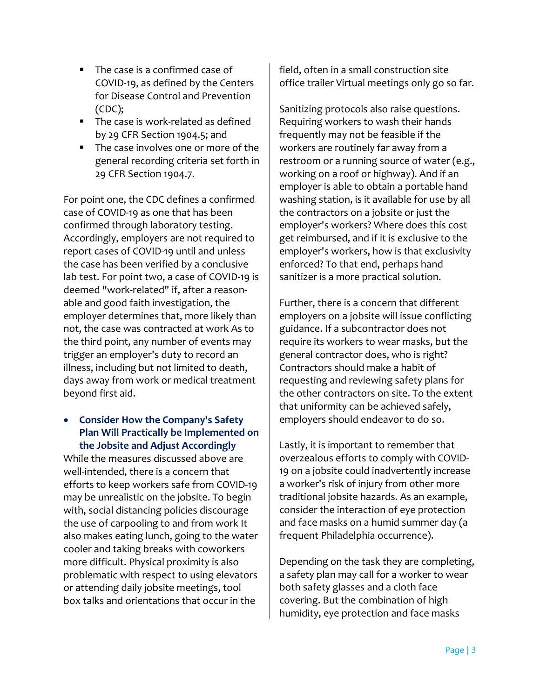- The case is a confirmed case of COVID-19, as defined by the Centers for Disease Control and Prevention (CDC);
- The case is work-related as defined by 29 CFR Section 1904.5; and
- The case involves one or more of the general recording criteria set forth in 29 CFR Section 1904.7.

For point one, the CDC defines a confirmed case of COVID-19 as one that has been confirmed through laboratory testing. Accordingly, employers are not required to report cases of COVID-19 until and unless the case has been verified by a conclusive lab test. For point two, a case of COVID-19 is deemed "work-related" if, after a reasonable and good faith investigation, the employer determines that, more likely than not, the case was contracted at work As to the third point, any number of events may trigger an employer's duty to record an illness, including but not limited to death, days away from work or medical treatment beyond first aid.

## • **Consider How the Company's Safety Plan Will Practically be Implemented on the Jobsite and Adjust Accordingly**

While the measures discussed above are well-intended, there is a concern that efforts to keep workers safe from COVID-19 may be unrealistic on the jobsite. To begin with, social distancing policies discourage the use of carpooling to and from work It also makes eating lunch, going to the water cooler and taking breaks with coworkers more difficult. Physical proximity is also problematic with respect to using elevators or attending daily jobsite meetings, tool box talks and orientations that occur in the

field, often in a small construction site office trailer Virtual meetings only go so far.

Sanitizing protocols also raise questions. Requiring workers to wash their hands frequently may not be feasible if the workers are routinely far away from a restroom or a running source of water (e.g., working on a roof or highway). And if an employer is able to obtain a portable hand washing station, is it available for use by all the contractors on a jobsite or just the employer's workers? Where does this cost get reimbursed, and if it is exclusive to the employer's workers, how is that exclusivity enforced? To that end, perhaps hand sanitizer is a more practical solution.

Further, there is a concern that different employers on a jobsite will issue conflicting guidance. If a subcontractor does not require its workers to wear masks, but the general contractor does, who is right? Contractors should make a habit of requesting and reviewing safety plans for the other contractors on site. To the extent that uniformity can be achieved safely, employers should endeavor to do so.

Lastly, it is important to remember that overzealous efforts to comply with COVID-19 on a jobsite could inadvertently increase a worker's risk of injury from other more traditional jobsite hazards. As an example, consider the interaction of eye protection and face masks on a humid summer day (a frequent Philadelphia occurrence).

Depending on the task they are completing, a safety plan may call for a worker to wear both safety glasses and a cloth face covering. But the combination of high humidity, eye protection and face masks